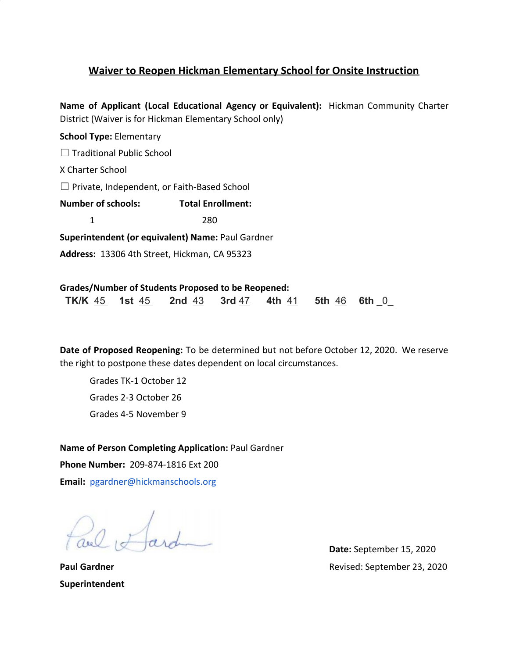## **Waiver to Reopen Hickman Elementary School for Onsite Instruction**

**Name of Applicant (Local Educational Agency or Equivalent):** Hickman Community Charter District (Waiver is for Hickman Elementary School only)

**School Type:** Elementary ☐ Traditional Public School X Charter School ☐ Private, Independent, or Faith-Based School **Number of schools: Total Enrollment:** 1 280 **Superintendent (or equivalent) Name:** Paul Gardner **Address:** 13306 4th Street, Hickman, CA 95323

**Grades/Number of Students Proposed to be Reopened: TK/K**  $\frac{45}{15}$  **1st**  $\frac{45}{15}$  **2nd**  $\frac{43}{15}$  **3rd**  $\frac{47}{15}$  **4th**  $\frac{41}{15}$  **5th**  $\frac{46}{15}$  **6th** 0

**Date of Proposed Reopening:** To be determined but not before October 12, 2020. We reserve the right to postpone these dates dependent on local circumstances.

Grades TK-1 October 12 Grades 2-3 October 26 Grades 4-5 November 9

**Name of Person Completing Application:** Paul Gardner **Phone Number:** 209-874-1816 Ext 200 **Email:** [pgardner@hickmanschools.org](mailto:pgardner@hickmanschools.org)

 $\sqrt{abcd}$ 

**Date:** September 15, 2020 **Paul Gardner** Revised: September 23, 2020

**Superintendent**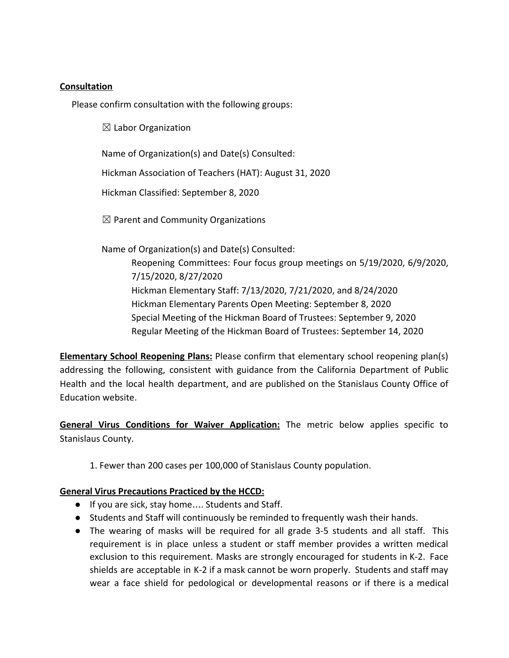#### **Consultation**

Please confirm consultation with the following groups:

 $\boxtimes$  Labor Organization

Name of Organization(s) and Date(s) Consulted:

Hickman Association of Teachers (HAT): August 31, 2020

Hickman Classified: September 8, 2020

 $\boxtimes$  Parent and Community Organizations

Name of Organization(s) and Date(s) Consulted:

Reopening Committees: Four focus group meetings on 5/19/2020, 6/9/2020, 7/15/2020, 8/27/2020 Hickman Elementary Staff: 7/13/2020, 7/21/2020, and 8/24/2020 Hickman Elementary Parents Open Meeting: September 8, 2020 Special Meeting of the Hickman Board of Trustees: September 9, 2020 Regular Meeting of the Hickman Board of Trustees: September 14, 2020

**Elementary School Reopening Plans:** Please confirm that elementary school reopening plan(s) addressing the following, consistent with guidance from the California Department of Public Health and the local health department, and are published on the Stanislaus County Office of Education website.

**General Virus Conditions for Waiver Application:** The metric below applies specific to Stanislaus County.

1. Fewer than 200 cases per 100,000 of Stanislaus County population.

#### **General Virus Precautions Practiced by the HCCD:**

- If you are sick, stay home…. Students and Staff.
- Students and Staff will continuously be reminded to frequently wash their hands.
- The wearing of masks will be required for all grade 3-5 students and all staff. This requirement is in place unless a student or staff member provides a written medical exclusion to this requirement. Masks are strongly encouraged for students in K-2. Face shields are acceptable in K-2 if a mask cannot be worn properly. Students and staff may wear a face shield for pedological or developmental reasons or if there is a medical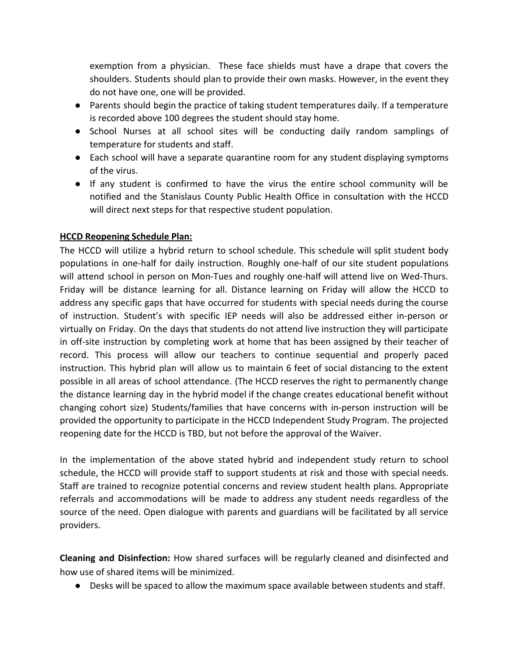exemption from a physician. These face shields must have a drape that covers the shoulders. Students should plan to provide their own masks. However, in the event they do not have one, one will be provided.

- Parents should begin the practice of taking student temperatures daily. If a temperature is recorded above 100 degrees the student should stay home.
- School Nurses at all school sites will be conducting daily random samplings of temperature for students and staff.
- Each school will have a separate quarantine room for any student displaying symptoms of the virus.
- If any student is confirmed to have the virus the entire school community will be notified and the Stanislaus County Public Health Office in consultation with the HCCD will direct next steps for that respective student population.

## **HCCD Reopening Schedule Plan:**

The HCCD will utilize a hybrid return to school schedule. This schedule will split student body populations in one-half for daily instruction. Roughly one-half of our site student populations will attend school in person on Mon-Tues and roughly one-half will attend live on Wed-Thurs. Friday will be distance learning for all. Distance learning on Friday will allow the HCCD to address any specific gaps that have occurred for students with special needs during the course of instruction. Student's with specific IEP needs will also be addressed either in-person or virtually on Friday. On the days that students do not attend live instruction they will participate in off-site instruction by completing work at home that has been assigned by their teacher of record. This process will allow our teachers to continue sequential and properly paced instruction. This hybrid plan will allow us to maintain 6 feet of social distancing to the extent possible in all areas of school attendance. (The HCCD reserves the right to permanently change the distance learning day in the hybrid model if the change creates educational benefit without changing cohort size) Students/families that have concerns with in-person instruction will be provided the opportunity to participate in the HCCD Independent Study Program. The projected reopening date for the HCCD is TBD, but not before the approval of the Waiver.

In the implementation of the above stated hybrid and independent study return to school schedule, the HCCD will provide staff to support students at risk and those with special needs. Staff are trained to recognize potential concerns and review student health plans. Appropriate referrals and accommodations will be made to address any student needs regardless of the source of the need. Open dialogue with parents and guardians will be facilitated by all service providers.

**Cleaning and Disinfection:** How shared surfaces will be regularly cleaned and disinfected and how use of shared items will be minimized.

● Desks will be spaced to allow the maximum space available between students and staff.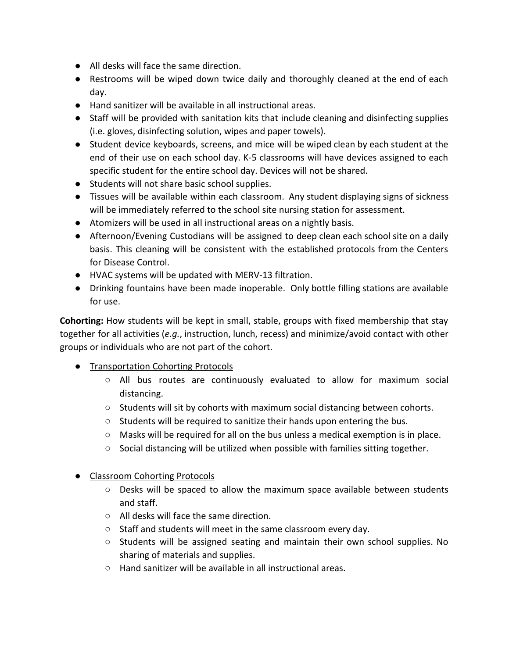- All desks will face the same direction.
- Restrooms will be wiped down twice daily and thoroughly cleaned at the end of each day.
- Hand sanitizer will be available in all instructional areas.
- Staff will be provided with sanitation kits that include cleaning and disinfecting supplies (i.e. gloves, disinfecting solution, wipes and paper towels).
- Student device keyboards, screens, and mice will be wiped clean by each student at the end of their use on each school day. K-5 classrooms will have devices assigned to each specific student for the entire school day. Devices will not be shared.
- Students will not share basic school supplies.
- Tissues will be available within each classroom. Any student displaying signs of sickness will be immediately referred to the school site nursing station for assessment.
- Atomizers will be used in all instructional areas on a nightly basis.
- Afternoon/Evening Custodians will be assigned to deep clean each school site on a daily basis. This cleaning will be consistent with the established protocols from the Centers for Disease Control.
- HVAC systems will be updated with MERV-13 filtration.
- Drinking fountains have been made inoperable. Only bottle filling stations are available for use.

**Cohorting:** How students will be kept in small, stable, groups with fixed membership that stay together for all activities (*e.g.*, instruction, lunch, recess) and minimize/avoid contact with other groups or individuals who are not part of the cohort.

- Transportation Cohorting Protocols
	- All bus routes are continuously evaluated to allow for maximum social distancing.
	- $\circ$  Students will sit by cohorts with maximum social distancing between cohorts.
	- Students will be required to sanitize their hands upon entering the bus.
	- $\circ$  Masks will be required for all on the bus unless a medical exemption is in place.
	- $\circ$  Social distancing will be utilized when possible with families sitting together.
- Classroom Cohorting Protocols
	- $\circ$  Desks will be spaced to allow the maximum space available between students and staff.
	- All desks will face the same direction.
	- Staff and students will meet in the same classroom every day.
	- Students will be assigned seating and maintain their own school supplies. No sharing of materials and supplies.
	- Hand sanitizer will be available in all instructional areas.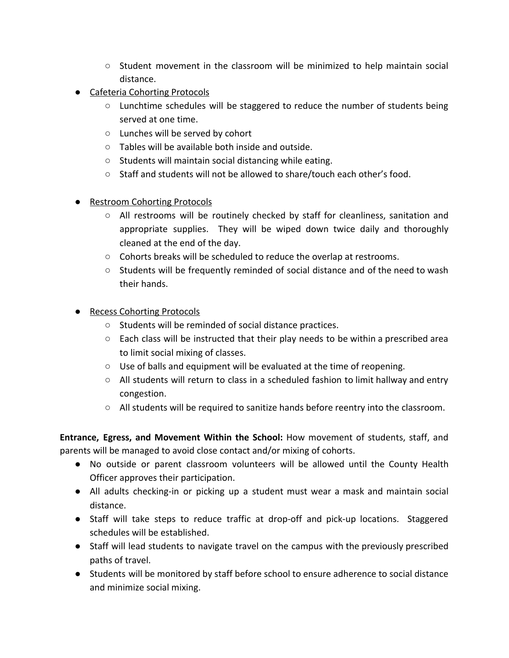- Student movement in the classroom will be minimized to help maintain social distance.
- Cafeteria Cohorting Protocols
	- $\circ$  Lunchtime schedules will be staggered to reduce the number of students being served at one time.
	- Lunches will be served by cohort
	- Tables will be available both inside and outside.
	- Students will maintain social distancing while eating.
	- Staff and students will not be allowed to share/touch each other's food.
- Restroom Cohorting Protocols
	- All restrooms will be routinely checked by staff for cleanliness, sanitation and appropriate supplies. They will be wiped down twice daily and thoroughly cleaned at the end of the day.
	- Cohorts breaks will be scheduled to reduce the overlap at restrooms.
	- Students will be frequently reminded of social distance and of the need to wash their hands.
- Recess Cohorting Protocols
	- Students will be reminded of social distance practices.
	- $\circ$  Each class will be instructed that their play needs to be within a prescribed area to limit social mixing of classes.
	- $\circ$  Use of balls and equipment will be evaluated at the time of reopening.
	- $\circ$  All students will return to class in a scheduled fashion to limit hallway and entry congestion.
	- $\circ$  All students will be required to sanitize hands before reentry into the classroom.

**Entrance, Egress, and Movement Within the School:** How movement of students, staff, and parents will be managed to avoid close contact and/or mixing of cohorts.

- No outside or parent classroom volunteers will be allowed until the County Health Officer approves their participation.
- All adults checking-in or picking up a student must wear a mask and maintain social distance.
- Staff will take steps to reduce traffic at drop-off and pick-up locations. Staggered schedules will be established.
- Staff will lead students to navigate travel on the campus with the previously prescribed paths of travel.
- Students will be monitored by staff before school to ensure adherence to social distance and minimize social mixing.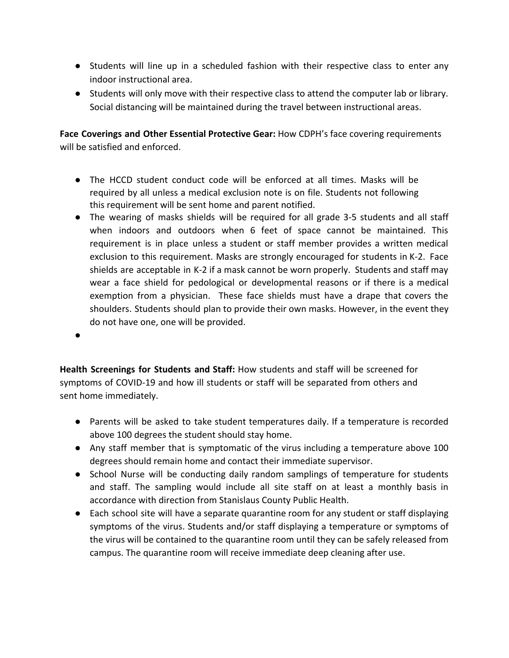- Students will line up in a scheduled fashion with their respective class to enter any indoor instructional area.
- Students will only move with their respective class to attend the computer lab or library. Social distancing will be maintained during the travel between instructional areas.

**Face Coverings and Other Essential Protective Gear:** How CDPH's face covering requirements will be satisfied and enforced.

- The HCCD student conduct code will be enforced at all times. Masks will be required by all unless a medical exclusion note is on file. Students not following this requirement will be sent home and parent notified.
- The wearing of masks shields will be required for all grade 3-5 students and all staff when indoors and outdoors when 6 feet of space cannot be maintained. This requirement is in place unless a student or staff member provides a written medical exclusion to this requirement. Masks are strongly encouraged for students in K-2. Face shields are acceptable in K-2 if a mask cannot be worn properly. Students and staff may wear a face shield for pedological or developmental reasons or if there is a medical exemption from a physician. These face shields must have a drape that covers the shoulders. Students should plan to provide their own masks. However, in the event they do not have one, one will be provided.
- ●

**Health Screenings for Students and Staff:** How students and staff will be screened for symptoms of COVID-19 and how ill students or staff will be separated from others and sent home immediately.

- Parents will be asked to take student temperatures daily. If a temperature is recorded above 100 degrees the student should stay home.
- Any staff member that is symptomatic of the virus including a temperature above 100 degrees should remain home and contact their immediate supervisor.
- School Nurse will be conducting daily random samplings of temperature for students and staff. The sampling would include all site staff on at least a monthly basis in accordance with direction from Stanislaus County Public Health.
- Each school site will have a separate quarantine room for any student or staff displaying symptoms of the virus. Students and/or staff displaying a temperature or symptoms of the virus will be contained to the quarantine room until they can be safely released from campus. The quarantine room will receive immediate deep cleaning after use.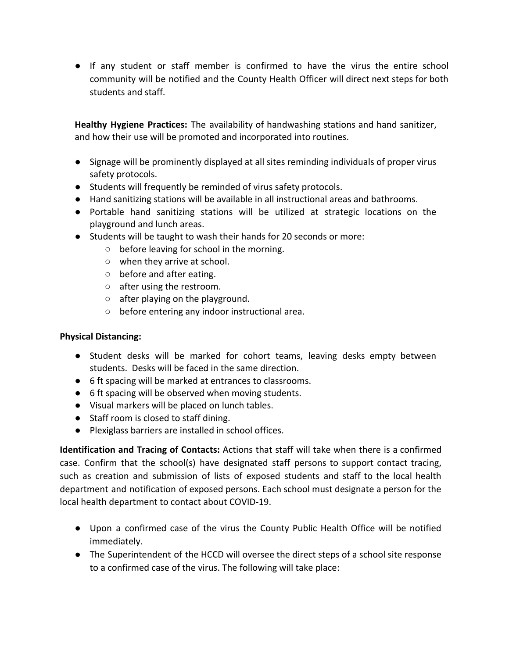● If any student or staff member is confirmed to have the virus the entire school community will be notified and the County Health Officer will direct next steps for both students and staff.

**Healthy Hygiene Practices:** The availability of handwashing stations and hand sanitizer, and how their use will be promoted and incorporated into routines.

- Signage will be prominently displayed at all sites reminding individuals of proper virus safety protocols.
- Students will frequently be reminded of virus safety protocols.
- Hand sanitizing stations will be available in all instructional areas and bathrooms.
- Portable hand sanitizing stations will be utilized at strategic locations on the playground and lunch areas.
- Students will be taught to wash their hands for 20 seconds or more:
	- $\circ$  before leaving for school in the morning.
	- when they arrive at school.
	- before and after eating.
	- after using the restroom.
	- $\circ$  after playing on the playground.
	- before entering any indoor instructional area.

#### **Physical Distancing:**

- Student desks will be marked for cohort teams, leaving desks empty between students. Desks will be faced in the same direction.
- 6 ft spacing will be marked at entrances to classrooms.
- 6 ft spacing will be observed when moving students.
- Visual markers will be placed on lunch tables.
- Staff room is closed to staff dining.
- Plexiglass barriers are installed in school offices.

**Identification and Tracing of Contacts:** Actions that staff will take when there is a confirmed case. Confirm that the school(s) have designated staff persons to support contact tracing, such as creation and submission of lists of exposed students and staff to the local health department and notification of exposed persons. Each school must designate a person for the local health department to contact about COVID-19.

- Upon a confirmed case of the virus the County Public Health Office will be notified immediately.
- The Superintendent of the HCCD will oversee the direct steps of a school site response to a confirmed case of the virus. The following will take place: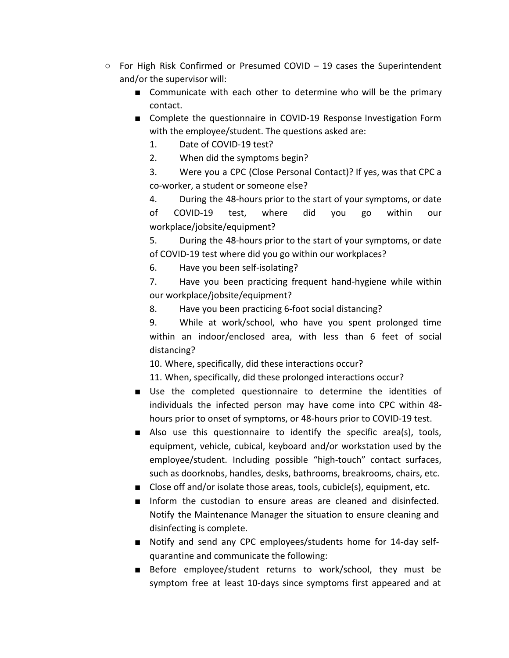- $\circ$  For High Risk Confirmed or Presumed COVID 19 cases the Superintendent and/or the supervisor will:
	- Communicate with each other to determine who will be the primary contact.
	- Complete the questionnaire in COVID-19 Response Investigation Form with the employee/student. The questions asked are:
		- 1. Date of COVID-19 test?
		- 2. When did the symptoms begin?
		- 3. Were you a CPC (Close Personal Contact)? If yes, was that CPC a co-worker, a student or someone else?
		- 4. During the 48-hours prior to the start of your symptoms, or date of COVID-19 test, where did you go within our workplace/jobsite/equipment?
		- 5. During the 48-hours prior to the start of your symptoms, or date of COVID-19 test where did you go within our workplaces?
		- 6. Have you been self-isolating?
		- 7. Have you been practicing frequent hand-hygiene while within our workplace/jobsite/equipment?
		- 8. Have you been practicing 6-foot social distancing?
		- 9. While at work/school, who have you spent prolonged time within an indoor/enclosed area, with less than 6 feet of social distancing?
		- 10. Where, specifically, did these interactions occur?
		- 11. When, specifically, did these prolonged interactions occur?
	- Use the completed questionnaire to determine the identities of individuals the infected person may have come into CPC within 48 hours prior to onset of symptoms, or 48-hours prior to COVID-19 test.
	- Also use this questionnaire to identify the specific area(s), tools, equipment, vehicle, cubical, keyboard and/or workstation used by the employee/student. Including possible "high-touch" contact surfaces, such as doorknobs, handles, desks, bathrooms, breakrooms, chairs, etc.
	- Close off and/or isolate those areas, tools, cubicle(s), equipment, etc.
	- Inform the custodian to ensure areas are cleaned and disinfected. Notify the Maintenance Manager the situation to ensure cleaning and disinfecting is complete.
	- Notify and send any CPC employees/students home for 14-day selfquarantine and communicate the following:
	- Before employee/student returns to work/school, they must be symptom free at least 10-days since symptoms first appeared and at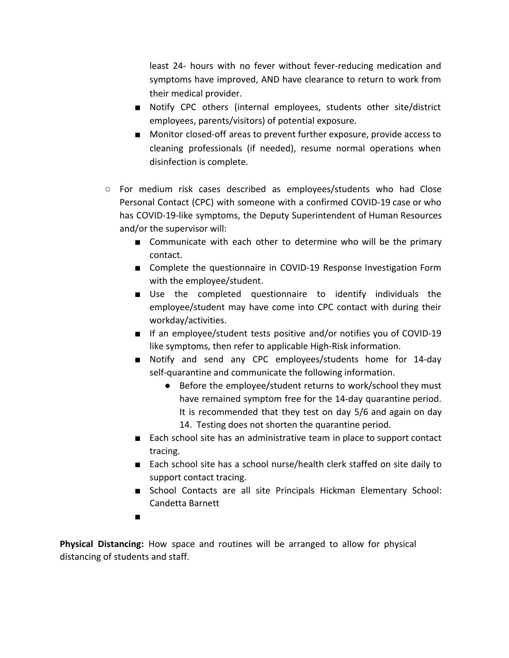least 24- hours with no fever without fever-reducing medication and symptoms have improved, AND have clearance to return to work from their medical provider.

- Notify CPC others (internal employees, students other site/district employees, parents/visitors) of potential exposure.
- Monitor closed-off areas to prevent further exposure, provide access to cleaning professionals (if needed), resume normal operations when disinfection is complete.
- $\circ$  For medium risk cases described as employees/students who had Close Personal Contact (CPC) with someone with a confirmed COVID-19 case or who has COVID-19-like symptoms, the Deputy Superintendent of Human Resources and/or the supervisor will:
	- Communicate with each other to determine who will be the primary contact.
	- Complete the questionnaire in COVID-19 Response Investigation Form with the employee/student.
	- Use the completed questionnaire to identify individuals the employee/student may have come into CPC contact with during their workday/activities.
	- If an employee/student tests positive and/or notifies you of COVID-19 like symptoms, then refer to applicable High-Risk information.
	- Notify and send any CPC employees/students home for 14-day self-quarantine and communicate the following information.
		- Before the employee/student returns to work/school they must have remained symptom free for the 14-day quarantine period. It is recommended that they test on day 5/6 and again on day 14. Testing does not shorten the quarantine period.
	- Each school site has an administrative team in place to support contact tracing.
	- Each school site has a school nurse/health clerk staffed on site daily to support contact tracing.
	- School Contacts are all site Principals Hickman Elementary School: Candetta Barnett
	- ■

**Physical Distancing:** How space and routines will be arranged to allow for physical distancing of students and staff.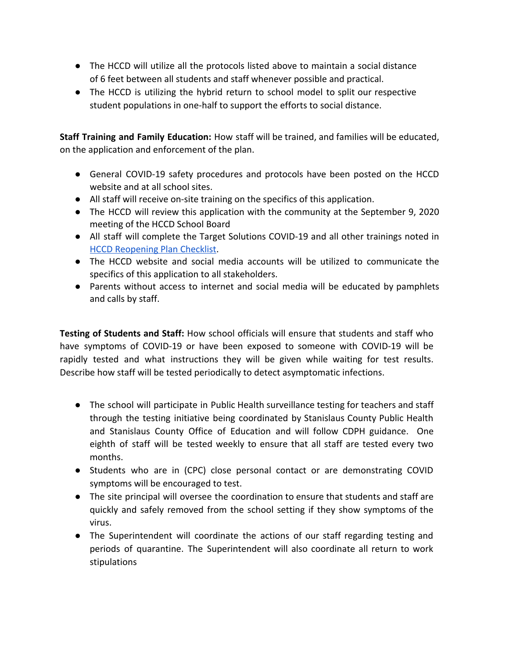- The HCCD will utilize all the protocols listed above to maintain a social distance of 6 feet between all students and staff whenever possible and practical.
- The HCCD is utilizing the hybrid return to school model to split our respective student populations in one-half to support the efforts to social distance.

**Staff Training and Family Education:** How staff will be trained, and families will be educated, on the application and enforcement of the plan.

- General COVID-19 safety procedures and protocols have been posted on the HCCD website and at all school sites.
- All staff will receive on-site training on the specifics of this application.
- The HCCD will review this application with the community at the September 9, 2020 meeting of the HCCD School Board
- All staff will complete the Target Solutions COVID-19 and all other trainings noted in [HCCD Reopening Plan Checklist](https://drive.google.com/file/d/11erKYxG7-UL0GCs3PMb8nSYv6LDKwaRe/view?usp=sharing).
- The HCCD website and social media accounts will be utilized to communicate the specifics of this application to all stakeholders.
- Parents without access to internet and social media will be educated by pamphlets and calls by staff.

**Testing of Students and Staff:** How school officials will ensure that students and staff who have symptoms of COVID-19 or have been exposed to someone with COVID-19 will be rapidly tested and what instructions they will be given while waiting for test results. Describe how staff will be tested periodically to detect asymptomatic infections.

- The school will participate in Public Health surveillance testing for teachers and staff through the testing initiative being coordinated by Stanislaus County Public Health and Stanislaus County Office of Education and will follow CDPH guidance. One eighth of staff will be tested weekly to ensure that all staff are tested every two months.
- Students who are in (CPC) close personal contact or are demonstrating COVID symptoms will be encouraged to test.
- The site principal will oversee the coordination to ensure that students and staff are quickly and safely removed from the school setting if they show symptoms of the virus.
- The Superintendent will coordinate the actions of our staff regarding testing and periods of quarantine. The Superintendent will also coordinate all return to work stipulations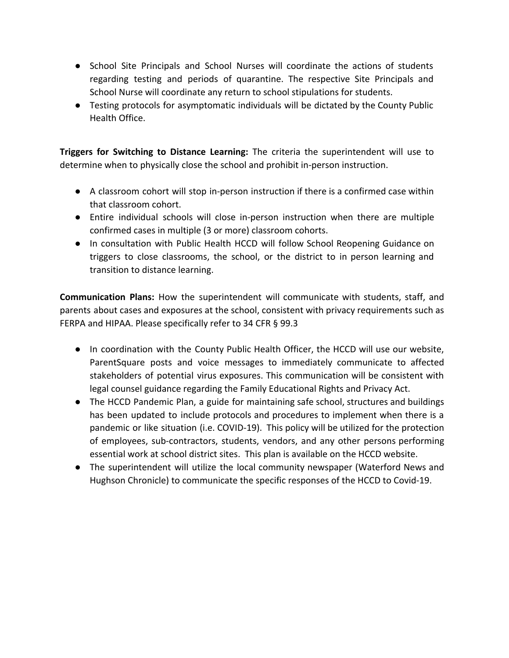- School Site Principals and School Nurses will coordinate the actions of students regarding testing and periods of quarantine. The respective Site Principals and School Nurse will coordinate any return to school stipulations for students.
- Testing protocols for asymptomatic individuals will be dictated by the County Public Health Office.

**Triggers for Switching to Distance Learning:** The criteria the superintendent will use to determine when to physically close the school and prohibit in-person instruction.

- A classroom cohort will stop in-person instruction if there is a confirmed case within that classroom cohort.
- Entire individual schools will close in-person instruction when there are multiple confirmed cases in multiple (3 or more) classroom cohorts.
- In consultation with Public Health HCCD will follow School Reopening Guidance on triggers to close classrooms, the school, or the district to in person learning and transition to distance learning.

**Communication Plans:** How the superintendent will communicate with students, staff, and parents about cases and exposures at the school, consistent with privacy requirements such as FERPA and HIPAA. Please specifically refer to 34 CFR § 99.3

- In coordination with the County Public Health Officer, the HCCD will use our website, ParentSquare posts and voice messages to immediately communicate to affected stakeholders of potential virus exposures. This communication will be consistent with legal counsel guidance regarding the Family Educational Rights and Privacy Act.
- The HCCD Pandemic Plan, a guide for maintaining safe school, structures and buildings has been updated to include protocols and procedures to implement when there is a pandemic or like situation (i.e. COVID-19). This policy will be utilized for the protection of employees, sub-contractors, students, vendors, and any other persons performing essential work at school district sites. This plan is available on the HCCD website.
- The superintendent will utilize the local community newspaper (Waterford News and Hughson Chronicle) to communicate the specific responses of the HCCD to Covid-19.